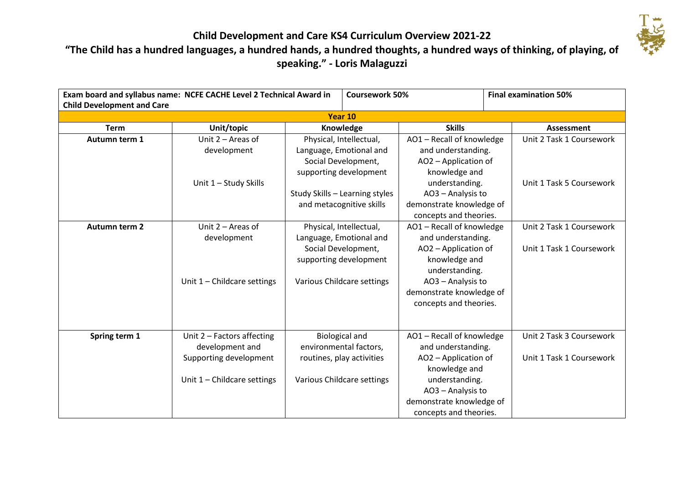

### **"The Child has a hundred languages, a hundred hands, a hundred thoughts, a hundred ways of thinking, of playing, of speaking." - Loris Malaguzzi**

| Exam board and syllabus name: NCFE CACHE Level 2 Technical Award in |                               | <b>Coursework 50%</b>                         |                            | <b>Final examination 50%</b>                                            |  |                          |
|---------------------------------------------------------------------|-------------------------------|-----------------------------------------------|----------------------------|-------------------------------------------------------------------------|--|--------------------------|
| <b>Child Development and Care</b>                                   |                               |                                               |                            |                                                                         |  |                          |
| Year 10                                                             |                               |                                               |                            |                                                                         |  |                          |
| <b>Term</b>                                                         | Unit/topic                    | Knowledge                                     |                            | <b>Skills</b>                                                           |  | Assessment               |
| Autumn term 1                                                       | Unit $2 -$ Areas of           | Physical, Intellectual,                       |                            | AO1 - Recall of knowledge                                               |  | Unit 2 Task 1 Coursework |
|                                                                     | development                   | Language, Emotional and                       |                            | and understanding.                                                      |  |                          |
|                                                                     |                               | Social Development,<br>supporting development |                            | AO2 - Application of                                                    |  |                          |
|                                                                     |                               |                                               |                            | knowledge and                                                           |  |                          |
|                                                                     | Unit 1 - Study Skills         |                                               |                            | understanding.                                                          |  | Unit 1 Task 5 Coursework |
|                                                                     |                               | Study Skills - Learning styles                |                            | AO3 - Analysis to                                                       |  |                          |
|                                                                     |                               | and metacognitive skills                      |                            | demonstrate knowledge of                                                |  |                          |
|                                                                     |                               |                                               |                            | concepts and theories.                                                  |  |                          |
| <b>Autumn term 2</b>                                                | Unit $2 -$ Areas of           |                                               | Physical, Intellectual,    | AO1 - Recall of knowledge<br>and understanding.<br>AO2 - Application of |  | Unit 2 Task 1 Coursework |
|                                                                     | development                   |                                               | Language, Emotional and    |                                                                         |  |                          |
|                                                                     |                               |                                               | Social Development,        |                                                                         |  | Unit 1 Task 1 Coursework |
|                                                                     |                               |                                               | supporting development     | knowledge and                                                           |  |                          |
|                                                                     |                               |                                               |                            | understanding.                                                          |  |                          |
|                                                                     | Unit $1$ – Childcare settings |                                               | Various Childcare settings | AO3 - Analysis to                                                       |  |                          |
|                                                                     |                               |                                               |                            | demonstrate knowledge of                                                |  |                          |
|                                                                     |                               |                                               |                            | concepts and theories.                                                  |  |                          |
|                                                                     |                               |                                               |                            |                                                                         |  |                          |
|                                                                     |                               |                                               |                            |                                                                         |  |                          |
| Spring term 1                                                       | Unit $2$ – Factors affecting  |                                               | <b>Biological and</b>      | AO1 - Recall of knowledge                                               |  | Unit 2 Task 3 Coursework |
|                                                                     | development and               |                                               | environmental factors,     | and understanding.                                                      |  |                          |
|                                                                     | Supporting development        |                                               | routines, play activities  | AO2 - Application of                                                    |  | Unit 1 Task 1 Coursework |
|                                                                     |                               |                                               |                            | knowledge and                                                           |  |                          |
|                                                                     | Unit $1$ – Childcare settings |                                               | Various Childcare settings | understanding.                                                          |  |                          |
|                                                                     |                               |                                               |                            | AO3 - Analysis to                                                       |  |                          |
|                                                                     |                               |                                               |                            | demonstrate knowledge of                                                |  |                          |
|                                                                     |                               |                                               |                            | concepts and theories.                                                  |  |                          |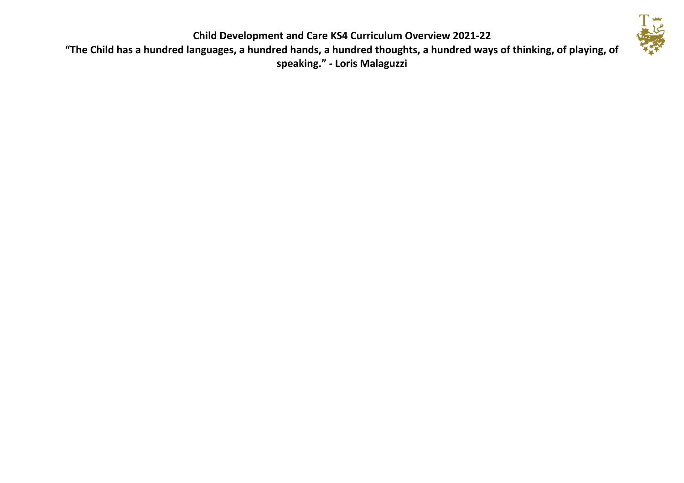

**"The Child has a hundred languages, a hundred hands, a hundred thoughts, a hundred ways of thinking, of playing, of speaking." - Loris Malaguzzi**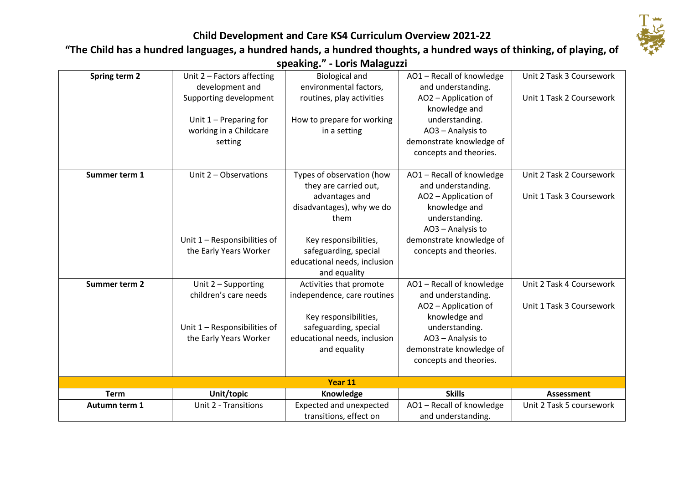

# **"The Child has a hundred languages, a hundred hands, a hundred thoughts, a hundred ways of thinking, of playing, of**

**speaking." - Loris Malaguzzi**

| Spring term 2 | Unit $2$ – Factors affecting   | <b>Biological and</b>        | AO1-Recall of knowledge  | Unit 2 Task 3 Coursework |  |
|---------------|--------------------------------|------------------------------|--------------------------|--------------------------|--|
|               | development and                | environmental factors,       | and understanding.       |                          |  |
|               | Supporting development         | routines, play activities    | AO2 - Application of     | Unit 1 Task 2 Coursework |  |
|               |                                |                              | knowledge and            |                          |  |
|               | Unit $1$ – Preparing for       | How to prepare for working   | understanding.           |                          |  |
|               | working in a Childcare         | in a setting                 | AO3 - Analysis to        |                          |  |
|               | setting                        |                              | demonstrate knowledge of |                          |  |
|               |                                |                              | concepts and theories.   |                          |  |
|               |                                |                              |                          |                          |  |
| Summer term 1 | Unit 2 - Observations          | Types of observation (how    | AO1-Recall of knowledge  | Unit 2 Task 2 Coursework |  |
|               |                                | they are carried out,        | and understanding.       |                          |  |
|               |                                | advantages and               | AO2 - Application of     | Unit 1 Task 3 Coursework |  |
|               |                                | disadvantages), why we do    | knowledge and            |                          |  |
|               |                                | them                         | understanding.           |                          |  |
|               |                                |                              | AO3 - Analysis to        |                          |  |
|               | Unit $1 -$ Responsibilities of | Key responsibilities,        | demonstrate knowledge of |                          |  |
|               | the Early Years Worker         | safeguarding, special        | concepts and theories.   |                          |  |
|               |                                | educational needs, inclusion |                          |                          |  |
|               |                                | and equality                 |                          |                          |  |
| Summer term 2 | Unit 2 - Supporting            | Activities that promote      | AO1-Recall of knowledge  | Unit 2 Task 4 Coursework |  |
|               | children's care needs          | independence, care routines  | and understanding.       |                          |  |
|               |                                |                              | AO2 - Application of     | Unit 1 Task 3 Coursework |  |
|               |                                | Key responsibilities,        | knowledge and            |                          |  |
|               | Unit 1 - Responsibilities of   | safeguarding, special        | understanding.           |                          |  |
|               | the Early Years Worker         | educational needs, inclusion | AO3 - Analysis to        |                          |  |
|               |                                | and equality                 | demonstrate knowledge of |                          |  |
|               |                                |                              | concepts and theories.   |                          |  |
| Year 11       |                                |                              |                          |                          |  |
| <b>Term</b>   | Unit/topic                     | Knowledge                    | <b>Skills</b>            | <b>Assessment</b>        |  |
| Autumn term 1 | Unit 2 - Transitions           | Expected and unexpected      | AO1-Recall of knowledge  | Unit 2 Task 5 coursework |  |
|               |                                | transitions, effect on       | and understanding.       |                          |  |
|               |                                |                              |                          |                          |  |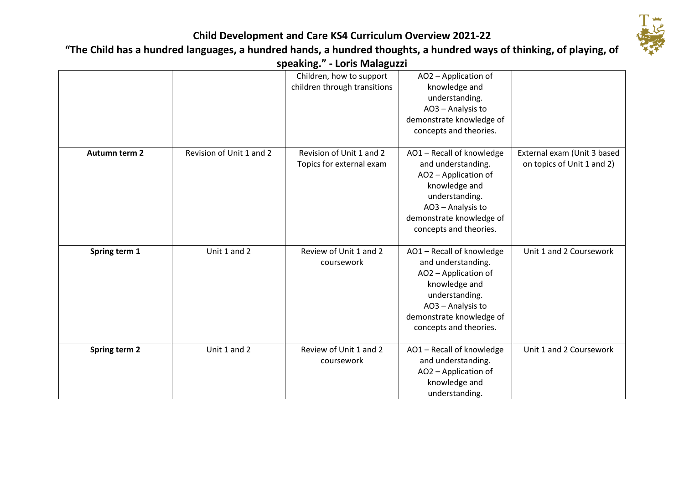

# **"The Child has a hundred languages, a hundred hands, a hundred thoughts, a hundred ways of thinking, of playing, of**

**speaking." - Loris Malaguzzi**

|               |                          | Children, how to support<br>children through transitions | AO2 - Application of<br>knowledge and<br>understanding.<br>AO3 - Analysis to<br>demonstrate knowledge of                                                                            |                                                           |
|---------------|--------------------------|----------------------------------------------------------|-------------------------------------------------------------------------------------------------------------------------------------------------------------------------------------|-----------------------------------------------------------|
|               |                          |                                                          | concepts and theories.                                                                                                                                                              |                                                           |
| Autumn term 2 | Revision of Unit 1 and 2 | Revision of Unit 1 and 2<br>Topics for external exam     | AO1-Recall of knowledge<br>and understanding.<br>AO2 - Application of<br>knowledge and<br>understanding.<br>AO3 - Analysis to<br>demonstrate knowledge of<br>concepts and theories. | External exam (Unit 3 based<br>on topics of Unit 1 and 2) |
| Spring term 1 | Unit 1 and 2             | Review of Unit 1 and 2<br>coursework                     | AO1-Recall of knowledge<br>and understanding.<br>AO2 - Application of<br>knowledge and<br>understanding.<br>AO3 - Analysis to<br>demonstrate knowledge of<br>concepts and theories. | Unit 1 and 2 Coursework                                   |
| Spring term 2 | Unit 1 and 2             | Review of Unit 1 and 2<br>coursework                     | AO1-Recall of knowledge<br>and understanding.<br>AO2 - Application of<br>knowledge and<br>understanding.                                                                            | Unit 1 and 2 Coursework                                   |